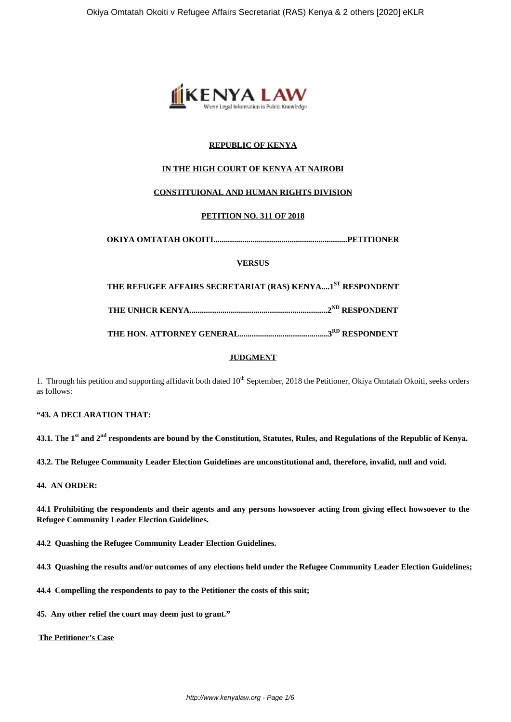

# **REPUBLIC OF KENYA**

## **IN THE HIGH COURT OF KENYA AT NAIROBI**

#### **CONSTITUIONAL AND HUMAN RIGHTS DIVISION**

#### **PETITION NO. 311 OF 2018**

**OKIYA OMTATAH OKOITI.................................................................PETITIONER**

#### **VERSUS**

**THE REFUGEE AFFAIRS SECRETARIAT (RAS) KENYA....1ST RESPONDENT**

**THE UNHCR KENYA...................................................................2ND RESPONDENT**

**THE HON. ATTORNEY GENERAL...........................................3RD RESPONDENT**

# **JUDGMENT**

1. Through his petition and supporting affidavit both dated 10<sup>th</sup> September, 2018 the Petitioner, Okiya Omtatah Okoiti, seeks orders as follows:

#### **"43. A DECLARATION THAT:**

**43.1. The 1st and 2nd respondents are bound by the Constitution, Statutes, Rules, and Regulations of the Republic of Kenya.**

**43.2. The Refugee Community Leader Election Guidelines are unconstitutional and, therefore, invalid, null and void.**

#### **44. AN ORDER:**

**44.1 Prohibiting the respondents and their agents and any persons howsoever acting from giving effect howsoever to the Refugee Community Leader Election Guidelines.**

**44.2 Quashing the Refugee Community Leader Election Guidelines.**

**44.3 Quashing the results and/or outcomes of any elections held under the Refugee Community Leader Election Guidelines;**

**44.4 Compelling the respondents to pay to the Petitioner the costs of this suit;**

**45. Any other relief the court may deem just to grant."**

**The Petitioner's Case**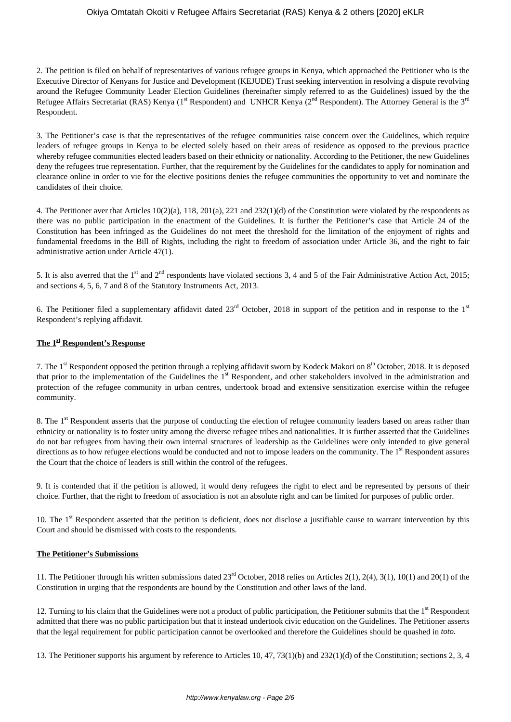### Okiya Omtatah Okoiti v Refugee Affairs Secretariat (RAS) Kenya & 2 others [2020] eKLR

2. The petition is filed on behalf of representatives of various refugee groups in Kenya, which approached the Petitioner who is the Executive Director of Kenyans for Justice and Development (KEJUDE) Trust seeking intervention in resolving a dispute revolving around the Refugee Community Leader Election Guidelines (hereinafter simply referred to as the Guidelines) issued by the the Refugee Affairs Secretariat (RAS) Kenya (1<sup>st</sup> Respondent) and UNHCR Kenya (2<sup>nd</sup> Respondent). The Attorney General is the 3<sup>rd</sup> Respondent.

3. The Petitioner's case is that the representatives of the refugee communities raise concern over the Guidelines, which require leaders of refugee groups in Kenya to be elected solely based on their areas of residence as opposed to the previous practice whereby refugee communities elected leaders based on their ethnicity or nationality. According to the Petitioner, the new Guidelines deny the refugees true representation. Further, that the requirement by the Guidelines for the candidates to apply for nomination and clearance online in order to vie for the elective positions denies the refugee communities the opportunity to vet and nominate the candidates of their choice.

4. The Petitioner aver that Articles 10(2)(a), 118, 201(a), 221 and 232(1)(d) of the Constitution were violated by the respondents as there was no public participation in the enactment of the Guidelines. It is further the Petitioner's case that Article 24 of the Constitution has been infringed as the Guidelines do not meet the threshold for the limitation of the enjoyment of rights and fundamental freedoms in the Bill of Rights, including the right to freedom of association under Article 36, and the right to fair administrative action under Article 47(1).

5. It is also averred that the 1<sup>st</sup> and 2<sup>nd</sup> respondents have violated sections 3, 4 and 5 of the Fair Administrative Action Act, 2015; and sections 4, 5, 6, 7 and 8 of the Statutory Instruments Act, 2013.

6. The Petitioner filed a supplementary affidavit dated  $23<sup>rd</sup>$  October, 2018 in support of the petition and in response to the  $1<sup>st</sup>$ Respondent's replying affidavit.

## **The 1st Respondent's Response**

7. The 1<sup>st</sup> Respondent opposed the petition through a replying affidavit sworn by Kodeck Makori on  $8<sup>th</sup>$  October, 2018. It is deposed that prior to the implementation of the Guidelines the 1<sup>st</sup> Respondent, and other stakeholders involved in the administration and protection of the refugee community in urban centres, undertook broad and extensive sensitization exercise within the refugee community.

8. The 1<sup>st</sup> Respondent asserts that the purpose of conducting the election of refugee community leaders based on areas rather than ethnicity or nationality is to foster unity among the diverse refugee tribes and nationalities. It is further asserted that the Guidelines do not bar refugees from having their own internal structures of leadership as the Guidelines were only intended to give general directions as to how refugee elections would be conducted and not to impose leaders on the community. The 1<sup>st</sup> Respondent assures the Court that the choice of leaders is still within the control of the refugees.

9. It is contended that if the petition is allowed, it would deny refugees the right to elect and be represented by persons of their choice. Further, that the right to freedom of association is not an absolute right and can be limited for purposes of public order.

10. The 1<sup>st</sup> Respondent asserted that the petition is deficient, does not disclose a justifiable cause to warrant intervention by this Court and should be dismissed with costs to the respondents.

#### **The Petitioner's Submissions**

11. The Petitioner through his written submissions dated 23rd October, 2018 relies on Articles 2(1), 2(4), 3(1), 10(1) and 20(1) of the Constitution in urging that the respondents are bound by the Constitution and other laws of the land.

12. Turning to his claim that the Guidelines were not a product of public participation, the Petitioner submits that the 1<sup>st</sup> Respondent admitted that there was no public participation but that it instead undertook civic education on the Guidelines. The Petitioner asserts that the legal requirement for public participation cannot be overlooked and therefore the Guidelines should be quashed in *toto.*

13. The Petitioner supports his argument by reference to Articles 10, 47, 73(1)(b) and 232(1)(d) of the Constitution; sections 2, 3, 4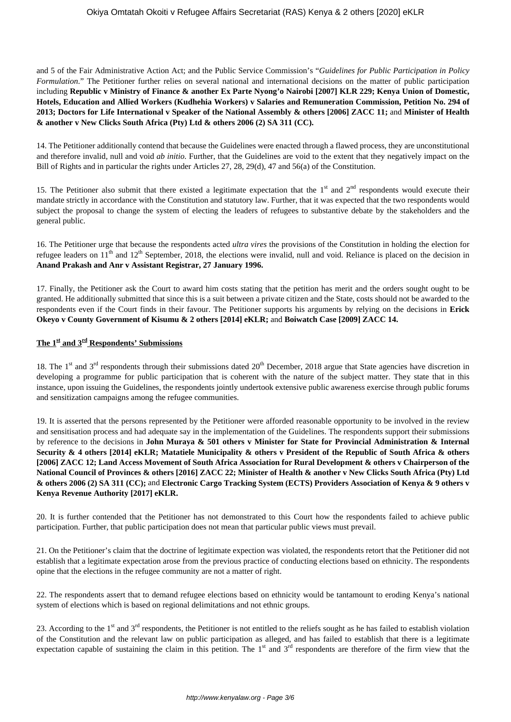and 5 of the Fair Administrative Action Act; and the Public Service Commission's "*Guidelines for Public Participation in Policy Formulation*." The Petitioner further relies on several national and international decisions on the matter of public participation including **Republic v Ministry of Finance & another Ex Parte Nyong'o Nairobi [2007] KLR 229; Kenya Union of Domestic, Hotels, Education and Allied Workers (Kudhehia Workers) v Salaries and Remuneration Commission, Petition No. 294 of 2013; Doctors for Life International v Speaker of the National Assembly & others [2006] ZACC 11;** and **Minister of Health & another v New Clicks South Africa (Pty) Ltd & others 2006 (2) SA 311 (CC).** 

14. The Petitioner additionally contend that because the Guidelines were enacted through a flawed process, they are unconstitutional and therefore invalid, null and void *ab initio.* Further, that the Guidelines are void to the extent that they negatively impact on the Bill of Rights and in particular the rights under Articles 27, 28, 29(d), 47 and 56(a) of the Constitution.

15. The Petitioner also submit that there existed a legitimate expectation that the  $1<sup>st</sup>$  and  $2<sup>nd</sup>$  respondents would execute their mandate strictly in accordance with the Constitution and statutory law. Further, that it was expected that the two respondents would subject the proposal to change the system of electing the leaders of refugees to substantive debate by the stakeholders and the general public.

16. The Petitioner urge that because the respondents acted *ultra vires* the provisions of the Constitution in holding the election for refugee leaders on  $11<sup>th</sup>$  and  $12<sup>th</sup>$  September, 2018, the elections were invalid, null and void. Reliance is placed on the decision in **Anand Prakash and Anr v Assistant Registrar, 27 January 1996.**

17. Finally, the Petitioner ask the Court to award him costs stating that the petition has merit and the orders sought ought to be granted. He additionally submitted that since this is a suit between a private citizen and the State, costs should not be awarded to the respondents even if the Court finds in their favour. The Petitioner supports his arguments by relying on the decisions in **Erick Okeyo v County Government of Kisumu & 2 others [2014] eKLR;** and **Boiwatch Case [2009] ZACC 14.**

# **The 1st and 3rd Respondents' Submissions**

18. The  $1<sup>st</sup>$  and  $3<sup>rd</sup>$  respondents through their submissions dated  $20<sup>th</sup>$  December, 2018 argue that State agencies have discretion in developing a programme for public participation that is coherent with the nature of the subject matter. They state that in this instance, upon issuing the Guidelines, the respondents jointly undertook extensive public awareness exercise through public forums and sensitization campaigns among the refugee communities.

19. It is asserted that the persons represented by the Petitioner were afforded reasonable opportunity to be involved in the review and sensitisation process and had adequate say in the implementation of the Guidelines. The respondents support their submissions by reference to the decisions in **John Muraya & 501 others v Minister for State for Provincial Administration & Internal Security & 4 others [2014] eKLR; Matatiele Municipality & others v President of the Republic of South Africa & others [2006] ZACC 12; Land Access Movement of South Africa Association for Rural Development & others v Chairperson of the National Council of Provinces & others [2016] ZACC 22; Minister of Health & another v New Clicks South Africa (Pty) Ltd & others 2006 (2) SA 311 (CC);** and **Electronic Cargo Tracking System (ECTS) Providers Association of Kenya & 9 others v Kenya Revenue Authority [2017] eKLR.**

20. It is further contended that the Petitioner has not demonstrated to this Court how the respondents failed to achieve public participation. Further, that public participation does not mean that particular public views must prevail.

21. On the Petitioner's claim that the doctrine of legitimate expection was violated, the respondents retort that the Petitioner did not establish that a legitimate expectation arose from the previous practice of conducting elections based on ethnicity. The respondents opine that the elections in the refugee community are not a matter of right.

22. The respondents assert that to demand refugee elections based on ethnicity would be tantamount to eroding Kenya's national system of elections which is based on regional delimitations and not ethnic groups.

23. According to the 1<sup>st</sup> and 3<sup>rd</sup> respondents, the Petitioner is not entitled to the reliefs sought as he has failed to establish violation of the Constitution and the relevant law on public participation as alleged, and has failed to establish that there is a legitimate expectation capable of sustaining the claim in this petition. The  $1<sup>st</sup>$  and  $3<sup>rd</sup>$  respondents are therefore of the firm view that the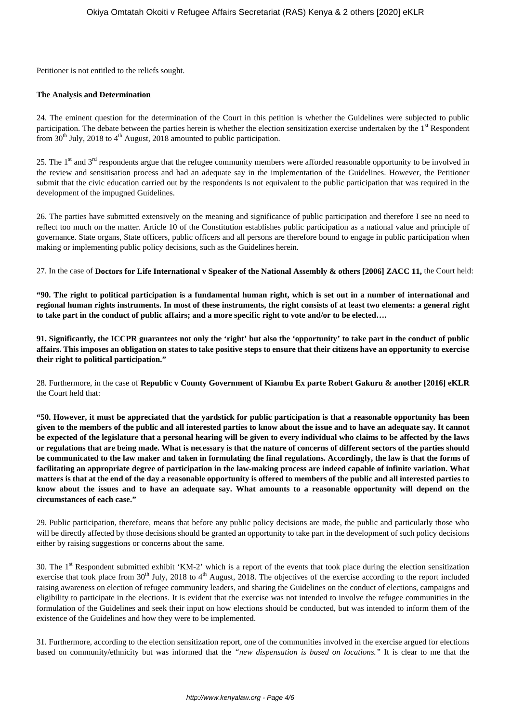Petitioner is not entitled to the reliefs sought.

## **The Analysis and Determination**

24. The eminent question for the determination of the Court in this petition is whether the Guidelines were subjected to public participation. The debate between the parties herein is whether the election sensitization exercise undertaken by the  $1<sup>st</sup>$  Respondent from  $30<sup>th</sup>$  July, 2018 to 4<sup>th</sup> August, 2018 amounted to public participation.

25. The  $1<sup>st</sup>$  and  $3<sup>rd</sup>$  respondents argue that the refugee community members were afforded reasonable opportunity to be involved in the review and sensitisation process and had an adequate say in the implementation of the Guidelines. However, the Petitioner submit that the civic education carried out by the respondents is not equivalent to the public participation that was required in the development of the impugned Guidelines.

26. The parties have submitted extensively on the meaning and significance of public participation and therefore I see no need to reflect too much on the matter. Article 10 of the Constitution establishes public participation as a national value and principle of governance. State organs, State officers, public officers and all persons are therefore bound to engage in public participation when making or implementing public policy decisions, such as the Guidelines herein.

27. In the case of **Doctors for Life International v Speaker of the National Assembly & others [2006] ZACC 11,** the Court held:

**"90. The right to political participation is a fundamental human right, which is set out in a number of international and regional human rights instruments. In most of these instruments, the right consists of at least two elements: a general right to take part in the conduct of public affairs; and a more specific right to vote and/or to be elected….**

**91. Significantly, the ICCPR guarantees not only the 'right' but also the 'opportunity' to take part in the conduct of public affairs. This imposes an obligation on states to take positive steps to ensure that their citizens have an opportunity to exercise their right to political participation."**

28. Furthermore, in the case of **Republic v County Government of Kiambu Ex parte Robert Gakuru & another [2016] eKLR** the Court held that:

**"50. However, it must be appreciated that the yardstick for public participation is that a reasonable opportunity has been given to the members of the public and all interested parties to know about the issue and to have an adequate say. It cannot be expected of the legislature that a personal hearing will be given to every individual who claims to be affected by the laws or regulations that are being made. What is necessary is that the nature of concerns of different sectors of the parties should be communicated to the law maker and taken in formulating the final regulations. Accordingly, the law is that the forms of facilitating an appropriate degree of participation in the law-making process are indeed capable of infinite variation. What matters is that at the end of the day a reasonable opportunity is offered to members of the public and all interested parties to know about the issues and to have an adequate say. What amounts to a reasonable opportunity will depend on the circumstances of each case."**

29. Public participation, therefore, means that before any public policy decisions are made, the public and particularly those who will be directly affected by those decisions should be granted an opportunity to take part in the development of such policy decisions either by raising suggestions or concerns about the same.

30. The 1st Respondent submitted exhibit 'KM-2' which is a report of the events that took place during the election sensitization exercise that took place from  $30<sup>th</sup>$  July, 2018 to  $4<sup>th</sup>$  August, 2018. The objectives of the exercise according to the report included raising awareness on election of refugee community leaders, and sharing the Guidelines on the conduct of elections, campaigns and eligibility to participate in the elections. It is evident that the exercise was not intended to involve the refugee communities in the formulation of the Guidelines and seek their input on how elections should be conducted, but was intended to inform them of the existence of the Guidelines and how they were to be implemented.

31. Furthermore, according to the election sensitization report, one of the communities involved in the exercise argued for elections based on community/ethnicity but was informed that the *"new dispensation is based on locations."* It is clear to me that the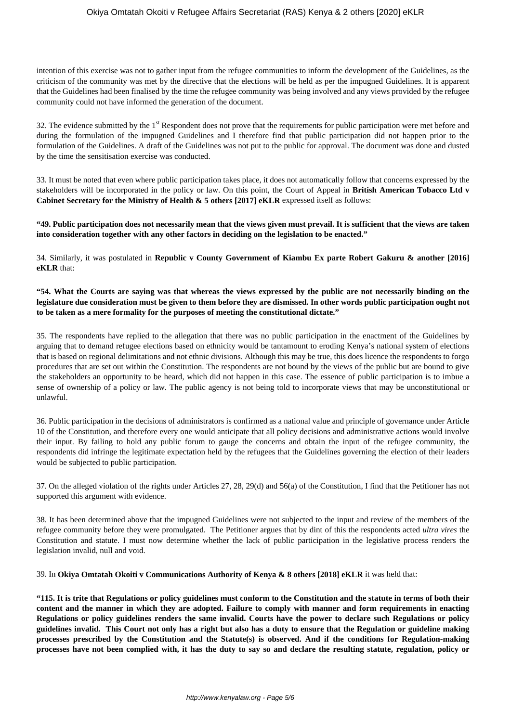intention of this exercise was not to gather input from the refugee communities to inform the development of the Guidelines, as the criticism of the community was met by the directive that the elections will be held as per the impugned Guidelines. It is apparent that the Guidelines had been finalised by the time the refugee community was being involved and any views provided by the refugee community could not have informed the generation of the document.

32. The evidence submitted by the  $1<sup>st</sup>$  Respondent does not prove that the requirements for public participation were met before and during the formulation of the impugned Guidelines and I therefore find that public participation did not happen prior to the formulation of the Guidelines. A draft of the Guidelines was not put to the public for approval. The document was done and dusted by the time the sensitisation exercise was conducted.

33. It must be noted that even where public participation takes place, it does not automatically follow that concerns expressed by the stakeholders will be incorporated in the policy or law. On this point, the Court of Appeal in **British American Tobacco Ltd v Cabinet Secretary for the Ministry of Health & 5 others [2017] eKLR** expressed itself as follows:

**"49. Public participation does not necessarily mean that the views given must prevail. It is sufficient that the views are taken into consideration together with any other factors in deciding on the legislation to be enacted."**

34. Similarly, it was postulated in **Republic v County Government of Kiambu Ex parte Robert Gakuru & another [2016] eKLR** that:

# **"54. What the Courts are saying was that whereas the views expressed by the public are not necessarily binding on the legislature due consideration must be given to them before they are dismissed. In other words public participation ought not to be taken as a mere formality for the purposes of meeting the constitutional dictate."**

35. The respondents have replied to the allegation that there was no public participation in the enactment of the Guidelines by arguing that to demand refugee elections based on ethnicity would be tantamount to eroding Kenya's national system of elections that is based on regional delimitations and not ethnic divisions. Although this may be true, this does licence the respondents to forgo procedures that are set out within the Constitution. The respondents are not bound by the views of the public but are bound to give the stakeholders an opportunity to be heard, which did not happen in this case. The essence of public participation is to imbue a sense of ownership of a policy or law. The public agency is not being told to incorporate views that may be unconstitutional or unlawful.

36. Public participation in the decisions of administrators is confirmed as a national value and principle of governance under Article 10 of the Constitution, and therefore every one would anticipate that all policy decisions and administrative actions would involve their input. By failing to hold any public forum to gauge the concerns and obtain the input of the refugee community, the respondents did infringe the legitimate expectation held by the refugees that the Guidelines governing the election of their leaders would be subjected to public participation.

37. On the alleged violation of the rights under Articles 27, 28, 29(d) and 56(a) of the Constitution, I find that the Petitioner has not supported this argument with evidence.

38. It has been determined above that the impugned Guidelines were not subjected to the input and review of the members of the refugee community before they were promulgated. The Petitioner argues that by dint of this the respondents acted *ultra vires* the Constitution and statute. I must now determine whether the lack of public participation in the legislative process renders the legislation invalid, null and void.

39. In **Okiya Omtatah Okoiti v Communications Authority of Kenya & 8 others [2018] eKLR** it was held that:

**"115. It is trite that Regulations or policy guidelines must conform to the Constitution and the statute in terms of both their content and the manner in which they are adopted. Failure to comply with manner and form requirements in enacting Regulations or policy guidelines renders the same invalid. Courts have the power to declare such Regulations or policy guidelines invalid. This Court not only has a right but also has a duty to ensure that the Regulation or guideline making processes prescribed by the Constitution and the Statute(s) is observed. And if the conditions for Regulation-making processes have not been complied with, it has the duty to say so and declare the resulting statute, regulation, policy or**